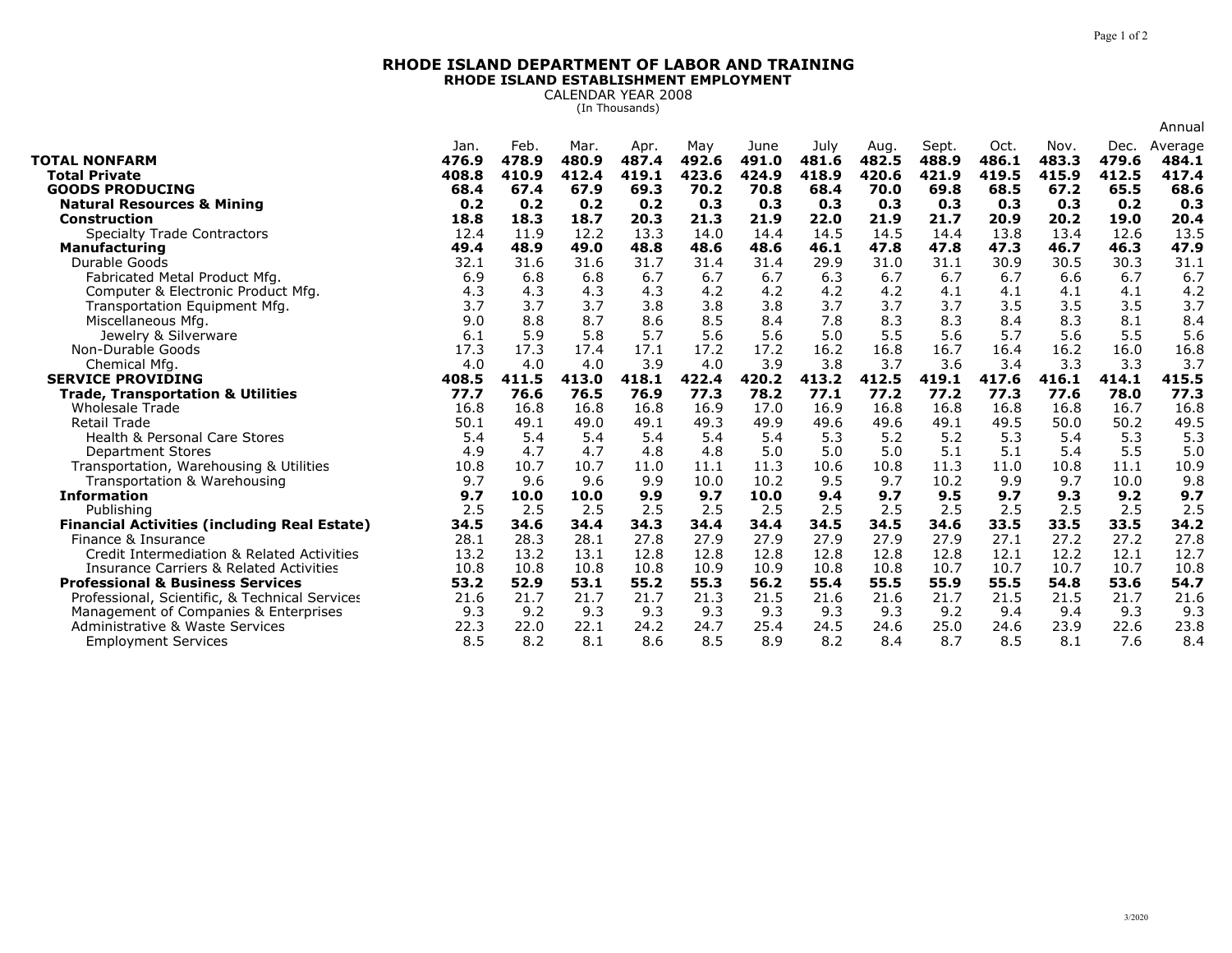## **RHODE ISLAND DEPARTMENT OF LABOR AND TRAININGRHODE ISLAND ESTABLISHMENT EMPLOYMENT**

CALENDAR YEAR 2008 (In Thousands)

|                                                               |               |               |               |               |              |               |               |               |                |               |               |               | Annual           |
|---------------------------------------------------------------|---------------|---------------|---------------|---------------|--------------|---------------|---------------|---------------|----------------|---------------|---------------|---------------|------------------|
| <b>TOTAL NONFARM</b>                                          | Jan.<br>476.9 | Feb.<br>478.9 | Mar.<br>480.9 | Apr.<br>487.4 | May<br>492.6 | June<br>491.0 | July<br>481.6 | Aug.<br>482.5 | Sept.<br>488.9 | Oct.<br>486.1 | Nov.<br>483.3 | Dec.<br>479.6 | Average<br>484.1 |
| <b>Total Private</b>                                          | 408.8         | 410.9         | 412.4         | 419.1         | 423.6        | 424.9         | 418.9         | 420.6         | 421.9          | 419.5         | 415.9         | 412.5         | 417.4            |
| <b>GOODS PRODUCING</b>                                        | 68.4<br>0.2   | 67.4<br>0.2   | 67.9<br>0.2   | 69.3<br>0.2   | 70.2<br>0.3  | 70.8<br>0.3   | 68.4<br>0.3   | 70.0<br>0.3   | 69.8<br>0.3    | 68.5<br>0.3   | 67.2<br>0.3   | 65.5<br>0.2   | 68.6<br>0.3      |
| <b>Natural Resources &amp; Mining</b><br><b>Construction</b>  | 18.8          | 18.3          | 18.7          | 20.3          | 21.3         | 21.9          | 22.0          | 21.9          | 21.7           | 20.9          | 20.2          | 19.0          | 20.4             |
| <b>Specialty Trade Contractors</b>                            | 12.4          | 11.9          | 12.2          | 13.3          | 14.0         | 14.4          | 14.5          | 14.5          | 14.4           | 13.8          | 13.4          | 12.6          | 13.5             |
| <b>Manufacturing</b>                                          | 49.4          | 48.9          | 49.0          | 48.8          | 48.6         | 48.6          | 46.1          | 47.8          | 47.8           | 47.3          | 46.7          | 46.3          | 47.9             |
| Durable Goods                                                 | 32.1          | 31.6          | 31.6          | 31.7          | 31.4         | 31.4          | 29.9          | 31.0          | 31.1           | 30.9          | 30.5          | 30.3          | 31.1             |
| Fabricated Metal Product Mfg.                                 | 6.9           | 6.8           | 6.8           | 6.7           | 6.7          | 6.7           | 6.3           | 6.7           | 6.7            | 6.7           | 6.6           | 6.7           | 6.7              |
| Computer & Electronic Product Mfg.                            | 4.3           | 4.3           | 4.3           | 4.3           | 4.2          | 4.2           | 4.2           | 4.2           | 4.1            | 4.1           | 4.1           | 4.1           | 4.2              |
| Transportation Equipment Mfg.                                 | 3.7           | 3.7           | 3.7           | 3.8           | 3.8          | 3.8           | 3.7           | 3.7           | 3.7            | 3.5           | 3.5           | 3.5           | 3.7              |
| Miscellaneous Mfg.                                            | 9.0           | 8.8           | 8.7           | 8.6           | 8.5          | 8.4           | 7.8           | 8.3           | 8.3            | 8.4           | 8.3           | 8.1           | 8.4              |
| Jewelry & Silverware                                          | 6.1           | 5.9           | 5.8           | 5.7           | 5.6          | 5.6           | 5.0           | 5.5           | 5.6            | 5.7           | 5.6           | 5.5           | 5.6              |
| Non-Durable Goods                                             | 17.3          | 17.3          | 17.4          | 17.1          | 17.2         | 17.2          | 16.2          | 16.8          | 16.7           | 16.4          | 16.2          | 16.0          | 16.8             |
| Chemical Mfg.                                                 | 4.0           | 4.0           | 4.0           | 3.9           | 4.0          | 3.9           | 3.8           | 3.7           | 3.6            | 3.4           | 3.3           | 3.3           | 3.7              |
| <b>SERVICE PROVIDING</b>                                      | 408.5         | 411.5         | 413.0         | 418.1         | 422.4        | 420.2         | 413.2         | 412.5         | 419.1          | 417.6         | 416.1         | 414.1         | 415.5            |
| <b>Trade, Transportation &amp; Utilities</b>                  | 77.7          | 76.6          | 76.5          | 76.9          | 77.3         | 78.2          | 77.1          | 77.2          | 77.2           | 77.3          | 77.6          | 78.0          | 77.3             |
|                                                               |               |               |               |               |              |               |               |               |                |               |               |               |                  |
| <b>Wholesale Trade</b>                                        | 16.8          | 16.8          | 16.8          | 16.8          | 16.9         | 17.0          | 16.9          | 16.8          | 16.8           | 16.8          | 16.8          | 16.7          | 16.8             |
| <b>Retail Trade</b>                                           | 50.1          | 49.1          | 49.0          | 49.1          | 49.3         | 49.9          | 49.6          | 49.6          | 49.1           | 49.5          | 50.0          | 50.2          | 49.5             |
| Health & Personal Care Stores                                 | 5.4           | 5.4           | 5.4           | 5.4           | 5.4          | 5.4           | 5.3           | 5.2           | 5.2            | 5.3           | 5.4           | 5.3           | 5.3              |
| <b>Department Stores</b>                                      | 4.9           | 4.7           | 4.7           | 4.8           | 4.8          | 5.0           | 5.0           | 5.0           | 5.1            | 5.1           | 5.4           | 5.5           | 5.0              |
| Transportation, Warehousing & Utilities                       | 10.8          | 10.7          | 10.7          | 11.0          | 11.1         | 11.3          | 10.6          | 10.8          | 11.3           | 11.0          | 10.8          | 11.1          | 10.9             |
| Transportation & Warehousing                                  | 9.7           | 9.6           | 9.6           | 9.9           | 10.0         | 10.2          | 9.5           | 9.7           | 10.2           | 9.9           | 9.7           | 10.0          | 9.8              |
| <b>Information</b>                                            | 9.7           | 10.0          | 10.0          | 9.9           | 9.7          | 10.0          | 9.4           | 9.7           | 9.5            | 9.7           | 9.3           | 9.2           | 9.7              |
| Publishing                                                    | 2.5           | 2.5           | 2.5           | 2.5           | 2.5          | 2.5           | 2.5           | 2.5           | 2.5            | 2.5           | 2.5           | 2.5           | 2.5              |
| <b>Financial Activities (including Real Estate)</b>           | 34.5          | 34.6          | 34.4          | 34.3          | 34.4         | 34.4          | 34.5          | 34.5          | 34.6           | 33.5          | 33.5          | 33.5          | 34.2             |
| Finance & Insurance                                           | 28.1          | 28.3          | 28.1          | 27.8          | 27.9         | 27.9          | 27.9          | 27.9          | 27.9           | 27.1          | 27.2          | 27.2          | 27.8             |
| Credit Intermediation & Related Activities                    | 13.2          | 13.2          | 13.1          | 12.8          | 12.8         | 12.8          | 12.8          | 12.8          | 12.8           | 12.1          | 12.2          | 12.1          | 12.7             |
| <b>Insurance Carriers &amp; Related Activities</b>            | 10.8          | 10.8          | 10.8          | 10.8          | 10.9         | 10.9          | 10.8          | 10.8          | 10.7           | 10.7          | 10.7          | 10.7          | 10.8             |
| <b>Professional &amp; Business Services</b>                   | 53.2          | 52.9          | 53.1          | 55.2          | 55.3         | 56.2          | 55.4          | 55.5          | 55.9           | 55.5          | 54.8          | 53.6          | 54.7             |
| Professional, Scientific, & Technical Services                | 21.6          | 21.7          | 21.7          | 21.7          | 21.3         | 21.5          | 21.6          | 21.6          | 21.7           | 21.5          | 21.5          | 21.7          | 21.6             |
| Management of Companies & Enterprises                         | 9.3           | 9.2           | 9.3           | 9.3           | 9.3          | 9.3           | 9.3           | 9.3           | 9.2            | 9.4           | 9.4           | 9.3           | 9.3              |
| Administrative & Waste Services<br><b>Employment Services</b> | 22.3<br>8.5   | 22.0<br>8.2   | 22.1<br>8.1   | 24.2<br>8.6   | 24.7<br>8.5  | 25.4<br>8.9   | 24.5<br>8.2   | 24.6<br>8.4   | 25.0<br>8.7    | 24.6<br>8.5   | 23.9<br>8.1   | 22.6<br>7.6   | 23.8<br>8,4      |